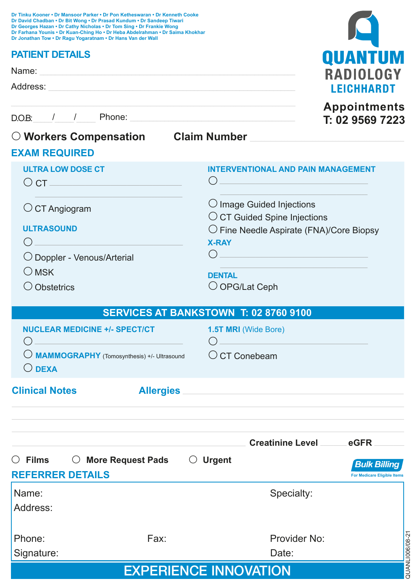| Dr Tinku Kooner • Dr Mansoor Parker • Dr Pon Ketheswaran • Dr Kenneth Cooke<br>Dr David Chadban . Dr Bit Wong . Dr Prasad Kundum . Dr Sandeep Tiwari<br>Dr Georges Hazan . Dr Cathy Nicholas . Dr Tom Sing . Dr Frankie Wong<br>Dr Farhana Younis . Dr Kuan-Ching Ho . Dr Heba Abdelrahman . Dr Saima Khokhar<br>Dr Jonathan Tow . Dr Ragu Yogaratnam . Dr Hans Van der Wall |                     |                                                                                                                                                                         |                                                                    |  |
|------------------------------------------------------------------------------------------------------------------------------------------------------------------------------------------------------------------------------------------------------------------------------------------------------------------------------------------------------------------------------|---------------------|-------------------------------------------------------------------------------------------------------------------------------------------------------------------------|--------------------------------------------------------------------|--|
| <b>PATIENT DETAILS</b>                                                                                                                                                                                                                                                                                                                                                       |                     |                                                                                                                                                                         | QUANTUM                                                            |  |
|                                                                                                                                                                                                                                                                                                                                                                              |                     |                                                                                                                                                                         | RADIOLOGY                                                          |  |
|                                                                                                                                                                                                                                                                                                                                                                              |                     |                                                                                                                                                                         | <b>LEICHHARDT</b>                                                  |  |
|                                                                                                                                                                                                                                                                                                                                                                              |                     |                                                                                                                                                                         | <b>Appointments</b><br>T: 02 9569 7223                             |  |
| O Workers Compensation Claim Number League                                                                                                                                                                                                                                                                                                                                   |                     |                                                                                                                                                                         |                                                                    |  |
| <b>EXAM REQUIRED</b>                                                                                                                                                                                                                                                                                                                                                         |                     |                                                                                                                                                                         |                                                                    |  |
| <b>ULTRA LOW DOSE CT</b><br>$\circ$ CT $\overline{\phantom{a}}$ CT $\overline{\phantom{a}}$                                                                                                                                                                                                                                                                                  |                     | <b>INTERVENTIONAL AND PAIN MANAGEMENT</b><br>( )<br><u> 1980 - Johann Barn, amerikan bestemanns og de større og de større og de større og de større og de større og</u> |                                                                    |  |
| $\bigcirc$ CT Angiogram                                                                                                                                                                                                                                                                                                                                                      |                     |                                                                                                                                                                         | $\bigcirc$ Image Guided Injections<br>O CT Guided Spine Injections |  |
| <b>ULTRASOUND</b><br>$\bigcap$                                                                                                                                                                                                                                                                                                                                               |                     | $\bigcirc$ Fine Needle Aspirate (FNA)/Core Biopsy<br><b>X-RAY</b>                                                                                                       |                                                                    |  |
| O Doppler - Venous/Arterial                                                                                                                                                                                                                                                                                                                                                  |                     | $\bigcirc$ and $\bigcirc$                                                                                                                                               |                                                                    |  |
| $\bigcirc$ MSK                                                                                                                                                                                                                                                                                                                                                               |                     | <b>DENTAL</b>                                                                                                                                                           |                                                                    |  |
| $\bigcirc$ Obstetrics                                                                                                                                                                                                                                                                                                                                                        |                     | $\bigcirc$ OPG/Lat Ceph                                                                                                                                                 |                                                                    |  |
|                                                                                                                                                                                                                                                                                                                                                                              |                     | <b>SERVICES AT BANKSTOWN T: 02 8760 9100</b>                                                                                                                            |                                                                    |  |
| <b>NUCLEAR MEDICINE +/- SPECT/CT</b>                                                                                                                                                                                                                                                                                                                                         |                     | 1.5T MRI (Wide Bore)                                                                                                                                                    |                                                                    |  |
| <u> 1980 - Johann Barbara, martxa alemaniar a</u><br><b>O MAMMOGRAPHY</b> (Tomosynthesis) +/- Ultrasound<br>$\bigcirc$ DEXA                                                                                                                                                                                                                                                  |                     | $\bigcap$<br>$\circ$ CT Conebeam                                                                                                                                        |                                                                    |  |
| <b>Clinical Notes</b>                                                                                                                                                                                                                                                                                                                                                        |                     | Allergies                                                                                                                                                               |                                                                    |  |
|                                                                                                                                                                                                                                                                                                                                                                              |                     |                                                                                                                                                                         |                                                                    |  |
|                                                                                                                                                                                                                                                                                                                                                                              |                     | Creatinine Level eGFR                                                                                                                                                   |                                                                    |  |
| $\circ$ Films<br><b>REFERRER DETAILS</b>                                                                                                                                                                                                                                                                                                                                     | ○ More Request Pads | $\bigcirc$ Urgent                                                                                                                                                       | <b>Bulk Billing</b><br><b>For Medicare Eligible Items</b>          |  |
| Name:                                                                                                                                                                                                                                                                                                                                                                        |                     | Specialty:                                                                                                                                                              |                                                                    |  |
| Address:                                                                                                                                                                                                                                                                                                                                                                     |                     |                                                                                                                                                                         |                                                                    |  |
| Phone:                                                                                                                                                                                                                                                                                                                                                                       | Fax:                | Provider No:                                                                                                                                                            |                                                                    |  |
| Signature:                                                                                                                                                                                                                                                                                                                                                                   |                     | Date:                                                                                                                                                                   |                                                                    |  |
|                                                                                                                                                                                                                                                                                                                                                                              |                     | <b>EVOEDIENIAE INNIAVATIANI</b>                                                                                                                                         |                                                                    |  |

EXPERIENCE INNOVATION